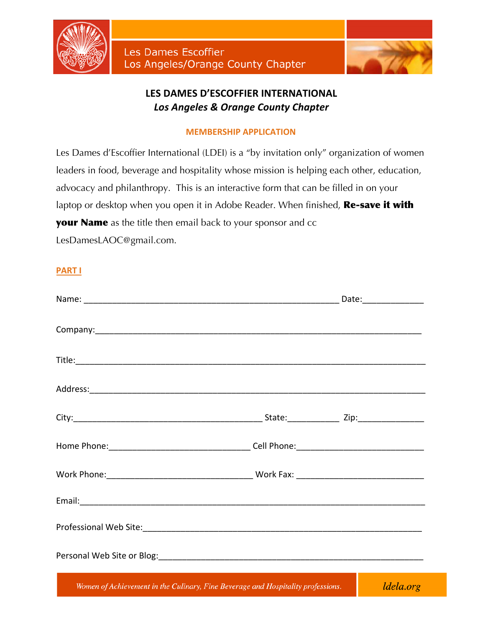



# **LES DAMES D'ESCOFFIER INTERNATIONAL Los Angeles & Orange County Chapter**

# **MEMBERSHIP APPLICATION**

Les Dames d'Escoffier International (LDEI) is a "by invitation only" organization of women leaders in food, beverage and hospitality whose mission is helping each other, education, advocacy and philanthropy. This is an interactive form that can be filled in on your laptop or desktop when you open it in Adobe Reader. When finished, Re-save it with **your Name** as the title then email back to your sponsor and cc LesDamesLAOC@gmail.com.

# **PART**

| Entry Women of Achievement in the Culinary Fine Reverage and Hospitality professions |  |  |
|--------------------------------------------------------------------------------------|--|--|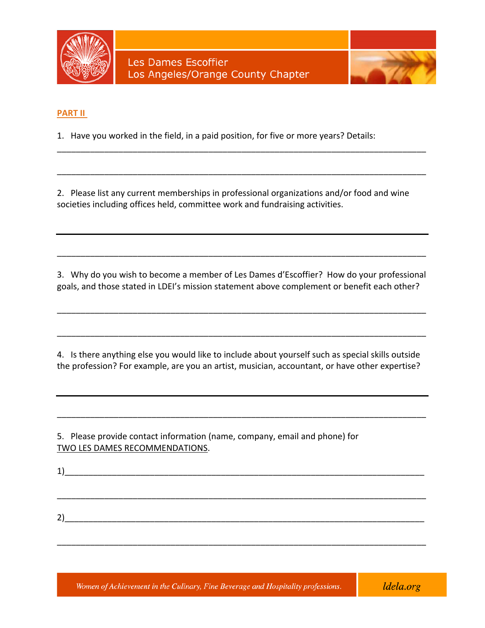



### **PART II**

1. Have you worked in the field, in a paid position, for five or more years? Details:

2. Please list any current memberships in professional organizations and/or food and wine societies including offices held, committee work and fundraising activities.

\_\_\_\_\_\_\_\_\_\_\_\_\_\_\_\_\_\_\_\_\_\_\_\_\_\_\_\_\_\_\_\_\_\_\_\_\_\_\_\_\_\_\_\_\_\_\_\_\_\_\_\_\_\_\_\_\_\_\_\_\_\_\_\_\_\_\_\_\_\_\_\_\_\_\_\_\_\_

\_\_\_\_\_\_\_\_\_\_\_\_\_\_\_\_\_\_\_\_\_\_\_\_\_\_\_\_\_\_\_\_\_\_\_\_\_\_\_\_\_\_\_\_\_\_\_\_\_\_\_\_\_\_\_\_\_\_\_\_\_\_\_\_\_\_\_\_\_\_\_\_\_\_\_\_\_\_ 

3. Why do you wish to become a member of Les Dames d'Escoffier? How do your professional goals, and those stated in LDEI's mission statement above complement or benefit each other?

\_\_\_\_\_\_\_\_\_\_\_\_\_\_\_\_\_\_\_\_\_\_\_\_\_\_\_\_\_\_\_\_\_\_\_\_\_\_\_\_\_\_\_\_\_\_\_\_\_\_\_\_\_\_\_\_\_\_\_\_\_\_\_\_\_\_\_\_\_\_\_\_\_\_\_\_\_\_ 

\_\_\_\_\_\_\_\_\_\_\_\_\_\_\_\_\_\_\_\_\_\_\_\_\_\_\_\_\_\_\_\_\_\_\_\_\_\_\_\_\_\_\_\_\_\_\_\_\_\_\_\_\_\_\_\_\_\_\_\_\_\_\_\_\_\_\_\_\_\_\_\_\_\_\_\_\_\_ 

\_\_\_\_\_\_\_\_\_\_\_\_\_\_\_\_\_\_\_\_\_\_\_\_\_\_\_\_\_\_\_\_\_\_\_\_\_\_\_\_\_\_\_\_\_\_\_\_\_\_\_\_\_\_\_\_\_\_\_\_\_\_\_\_\_\_\_\_\_\_\_\_\_\_\_\_\_\_ 

4. Is there anything else you would like to include about yourself such as special skills outside the profession? For example, are you an artist, musician, accountant, or have other expertise?

\_\_\_\_\_\_\_\_\_\_\_\_\_\_\_\_\_\_\_\_\_\_\_\_\_\_\_\_\_\_\_\_\_\_\_\_\_\_\_\_\_\_\_\_\_\_\_\_\_\_\_\_\_\_\_\_\_\_\_\_\_\_\_\_\_\_\_\_\_\_\_\_\_\_\_\_\_\_ 

5. Please provide contact information (name, company, email and phone) for TWO LES DAMES RECOMMENDATIONS.

 $1)$ \_\_\_\_\_\_\_\_\_\_\_\_\_\_\_\_\_\_\_\_\_\_\_\_\_\_\_\_\_\_\_\_\_\_\_\_\_\_\_\_\_\_\_\_\_\_\_\_\_\_\_\_\_\_\_\_\_\_\_\_\_\_\_\_\_\_\_\_\_\_\_\_\_\_\_\_\_\_ 2)\_\_\_\_\_\_\_\_\_\_\_\_\_\_\_\_\_\_\_\_\_\_\_\_\_\_\_\_\_\_\_\_\_\_\_\_\_\_\_\_\_\_\_\_\_\_\_\_\_\_\_\_\_\_\_\_\_\_\_\_\_\_\_\_\_\_\_\_\_\_\_\_\_\_\_\_ 

\_\_\_\_\_\_\_\_\_\_\_\_\_\_\_\_\_\_\_\_\_\_\_\_\_\_\_\_\_\_\_\_\_\_\_\_\_\_\_\_\_\_\_\_\_\_\_\_\_\_\_\_\_\_\_\_\_\_\_\_\_\_\_\_\_\_\_\_\_\_\_\_\_\_\_\_\_\_ 

ldela.org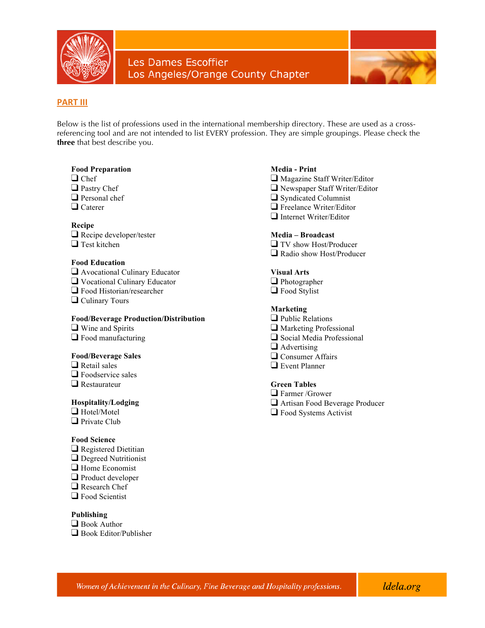



### **PART III**

Below is the list of professions used in the international membership directory. These are used as a crossreferencing tool and are not intended to list EVERY profession. They are simple groupings. Please check the **three** that best describe you.

### **Food Preparation**

- ❑ Chef
- ❑ Pastry Chef
- ❑ Personal chef
- ❑ Caterer

#### **Recipe**

❑ Recipe developer/tester ❑ Test kitchen

### **Food Education**

- ❑ Avocational Culinary Educator
- ❑ Vocational Culinary Educator
- ❑ Food Historian/researcher
- ❑ Culinary Tours

### **Food/Beverage Production/Distribution**

- ❑ Wine and Spirits
- ❑ Food manufacturing

### **Food/Beverage Sales**

- ❑ Retail sales
- ❑ Foodservice sales
- ❑ Restaurateur

#### **Hospitality/Lodging**

- ❑ Hotel/Motel ❑ Private Club
- 

### **Food Science**

- ❑ Registered Dietitian
- ❑ Degreed Nutritionist
- ❑ Home Economist
- ❑ Product developer
- ❑ Research Chef
- ❑ Food Scientist

### **Publishing**

❑ Book Author ❑ Book Editor/Publisher

### **Media - Print**

- ❑ Magazine Staff Writer/Editor
- ❑ Newspaper Staff Writer/Editor
- ❑ Syndicated Columnist
- ❑ Freelance Writer/Editor
- ❑ Internet Writer/Editor

### **Media – Broadcast**

❑ TV show Host/Producer ❑ Radio show Host/Producer

#### **Visual Arts**

❑ Photographer ❑ Food Stylist

### **Marketing**

- ❑ Public Relations
- ❑ Marketing Professional
- ❑ Social Media Professional
- ❑ Advertising
- ❑ Consumer Affairs
- ❑ Event Planner

### **Green Tables**

- ❑ Farmer /Grower
- ❑ Artisan Food Beverage Producer
- ❑ Food Systems Activist

ldela.org